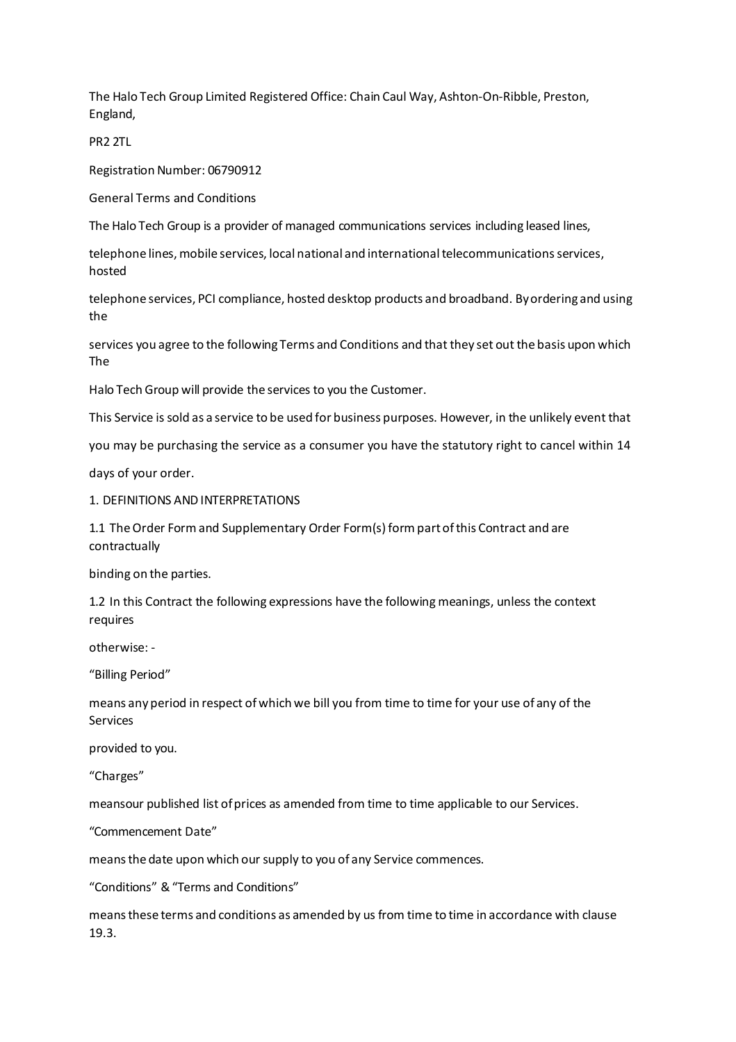The Halo Tech Group Limited Registered Office: Chain Caul Way, Ashton-On-Ribble, Preston, England,

PR2 2TL

Registration Number: 06790912

General Terms and Conditions

The Halo Tech Group is a provider of managed communications services including leased lines,

telephone lines, mobile services, local national and international telecommunications services, hosted

telephone services, PCI compliance, hosted desktop products and broadband. Byordering and using the

services you agree to the following Terms and Conditions and that they set out the basis upon which The

Halo Tech Group will provide the services to you the Customer.

This Service is sold as a service to be used for business purposes. However, in the unlikely event that

you may be purchasing the service as a consumer you have the statutory right to cancel within 14

days of your order.

1. DEFINITIONS AND INTERPRETATIONS

1.1 TheOrder Formand Supplementary Order Form(s) form partofthis Contract and are contractually

binding on the parties.

1.2 In this Contract the following expressions have the following meanings, unless the context requires

otherwise: -

"Billing Period"

means any period in respect of which we bill you from time to time for your use of any of the Services

provided to you.

"Charges"

meansour published list ofprices as amended from time to time applicable to our Services.

"Commencement Date"

meansthe date upon which our supply to you of any Service commences.

"Conditions" &"Terms and Conditions"

meansthese terms and conditions as amended by us from time to time in accordance with clause 19.3.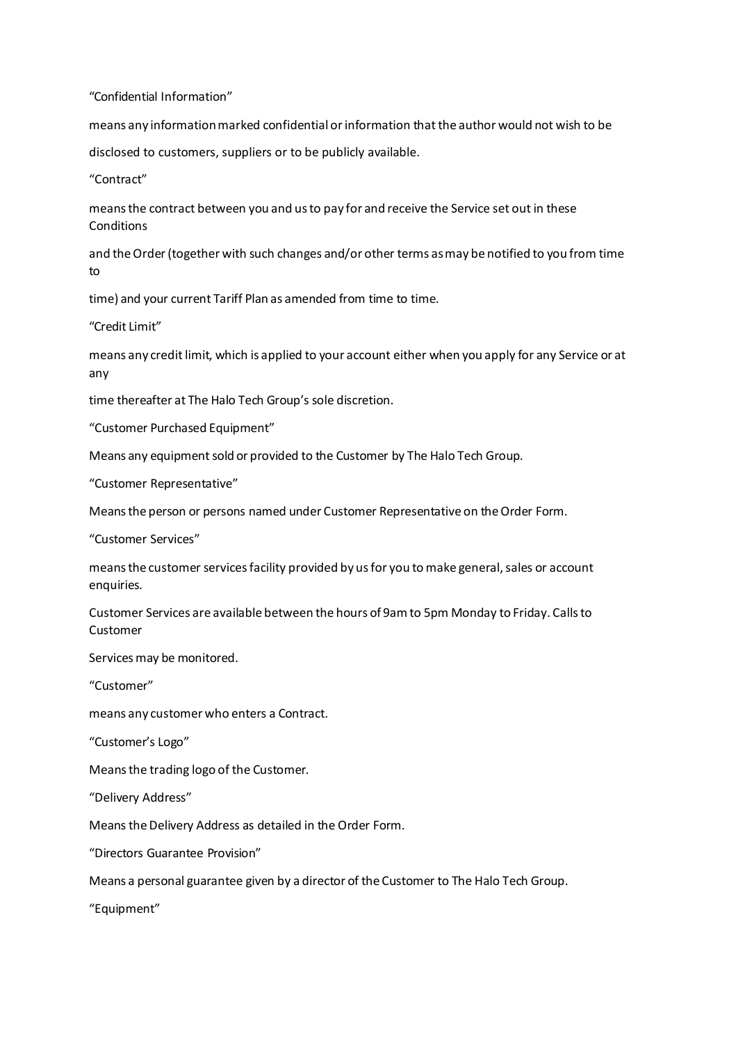"Confidential Information"

means any information marked confidential or information that the author would not wish to be

disclosed to customers, suppliers or to be publicly available.

"Contract"

meansthe contract between you and usto pay for and receive the Service set out in these **Conditions** 

and the Order (together with such changes and/or other terms as may be notified to you from time to

time) and your current Tariff Plan as amended from time to time.

"Credit Limit"

means any creditlimit, which is applied to your account either when you apply for any Service or at any

time thereafter at The Halo Tech Group's sole discretion.

"Customer Purchased Equipment"

Means any equipment sold or provided to the Customer by The Halo Tech Group.

"Customer Representative"

Meansthe person or persons named under Customer Representative on theOrder Form.

"Customer Services"

means the customer services facility provided by us for you to make general, sales or account enquiries.

Customer Services are available between the hours of 9amto 5pm Monday to Friday. Callsto Customer

Services may be monitored.

"Customer"

means any customer who enters a Contract.

"Customer's Logo"

Meansthe trading logo of the Customer.

"Delivery Address"

Means the Delivery Address as detailed in the Order Form.

"Directors Guarantee Provision"

Means a personal guarantee given by a director of the Customer to The Halo Tech Group.

"Equipment"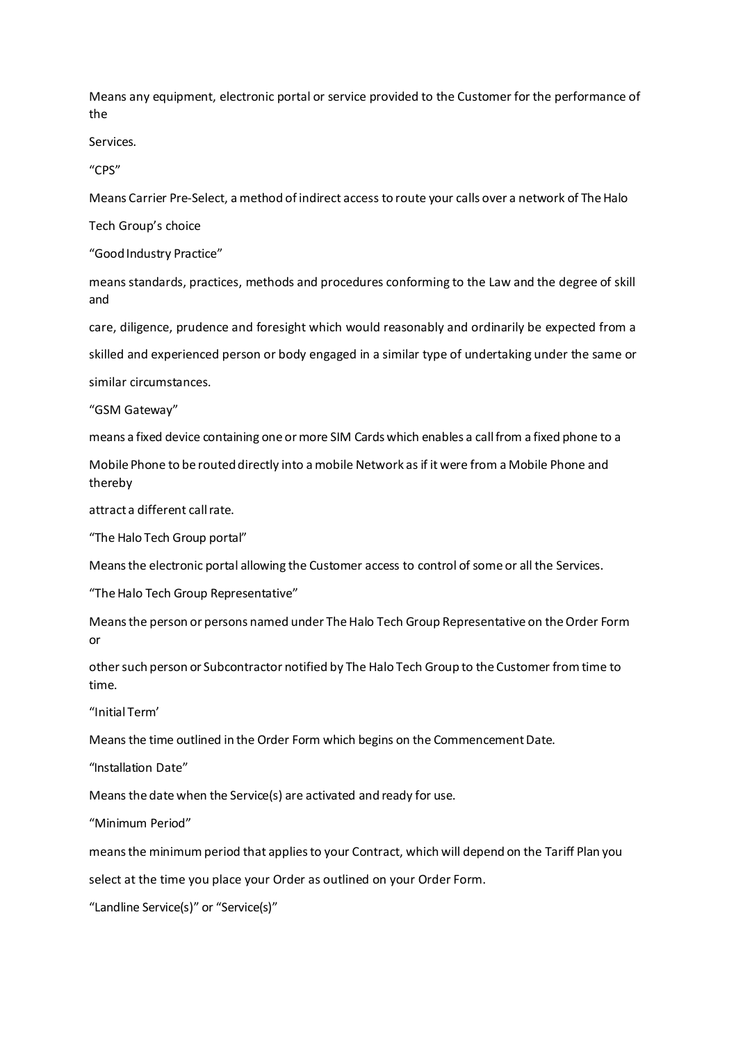Means any equipment, electronic portal or service provided to the Customer for the performance of the

Services.

"CPS"

Means Carrier Pre-Select, a method of indirect access to route your calls over a network of The Halo

Tech Group's choice

"Good Industry Practice"

means standards, practices, methods and procedures conforming to the Law and the degree of skill and

care, diligence, prudence and foresight which would reasonably and ordinarily be expected from a

skilled and experienced person or body engaged in a similar type of undertaking under the same or

similar circumstances.

"GSM Gateway"

means a fixed device containing one ormore SIM Cards which enables a callfrom a fixed phone to a

Mobile Phone to be routed directly into a mobile Network as if it were from a Mobile Phone and thereby

attract a different call rate.

"The Halo Tech Group portal"

Meansthe electronic portal allowing the Customer access to control of some or all the Services.

"The Halo Tech Group Representative"

Meansthe person or persons named under TheHalo Tech Group Representative on theOrder Form or

othersuch person or Subcontractor notified by The Halo Tech Group to the Customer fromtime to time.

"Initial Term'

Means the time outlined in the Order Form which begins on the CommencementDate.

"Installation Date"

Means the date when the Service(s) are activated and ready for use.

"Minimum Period"

meansthe minimum period that appliesto your Contract, which will depend on the Tariff Plan you select at the time you place your Order as outlined on your Order Form.

"Landline Service(s)" or "Service(s)"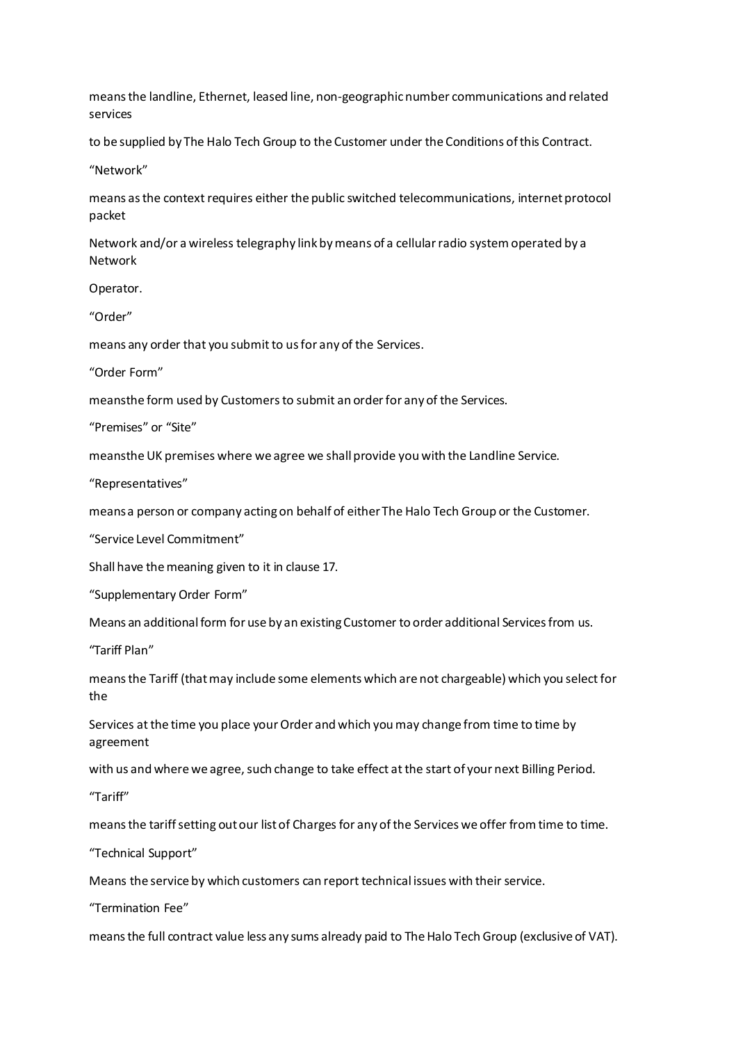meansthe landline, Ethernet, leased line, non-geographicnumber communications and related services

to be supplied by The Halo Tech Group to the Customer under the Conditions ofthis Contract.

"Network"

means as the context requires either the public switched telecommunications, internet protocol packet

Network and/or a wireless telegraphy link bymeans of a cellularradio system operated by a Network

Operator.

"Order"

means any order that you submit to us for any of the Services.

"Order Form"

meansthe form used by Customers to submit an order for any of the Services.

"Premises" or "Site"

meanstheUK premises where we agree we shall provide you with the Landline Service.

"Representatives"

meansa person or company actingon behalf of eitherThe Halo Tech Group or the Customer.

"Service Level Commitment"

Shall have themeaning given to it in clause 17.

"Supplementary Order Form"

Means an additional form for use by an existing Customer to order additional Services from us.

"Tariff Plan"

meansthe Tariff (thatmay include some elements which are not chargeable) which you select for the

Services at the time you place your Order and which you may change from time to time by agreement

with us and where we agree, such change to take effect at the start of your next Billing Period.

"Tariff"

meansthe tariffsetting outour listof Charges for any ofthe Services we offer fromtime to time.

"Technical Support"

Means the service by which customers can report technical issues with their service.

"Termination Fee"

means the full contract value less any sums already paid to The Halo Tech Group (exclusive of VAT).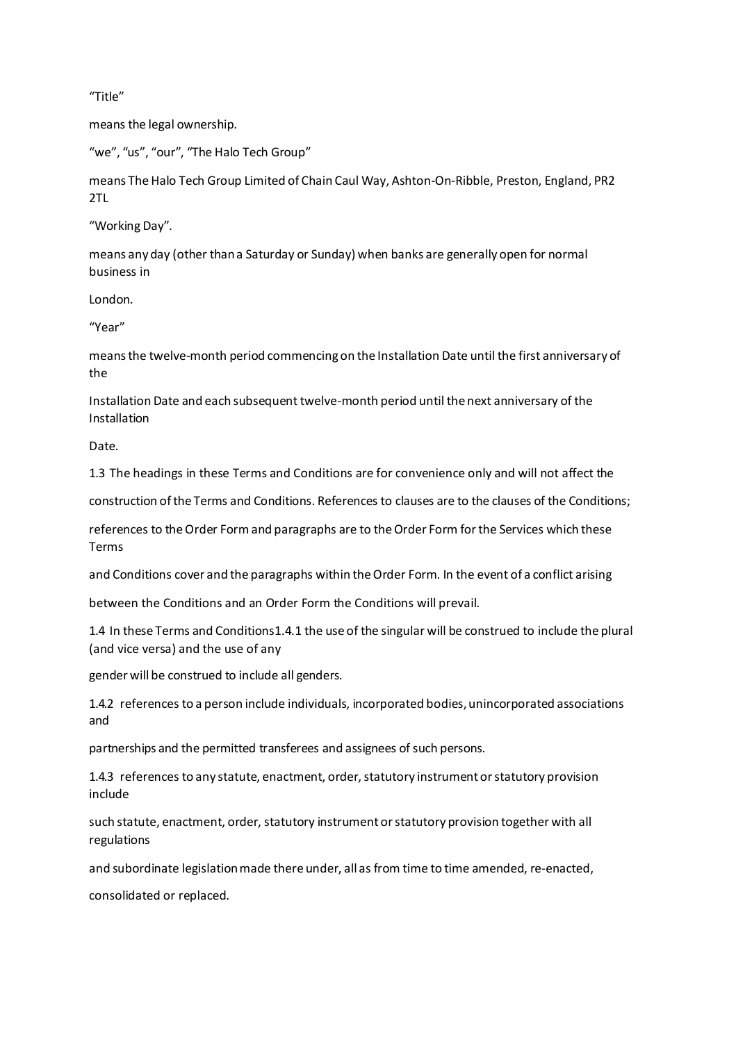"Title"

means the legal ownership.

"we", "us", "our", "The Halo Tech Group"

means The Halo Tech Group Limited of Chain Caul Way, Ashton-On-Ribble, Preston, England, PR2 2TL

"Working Day".

means any day (other thana Saturday or Sunday) when banks are generally open for normal business in

London.

"Year"

meansthe twelve-month period commencingon the Installation Date until the first anniversary of the

Installation Date and each subsequent twelve-month period until the next anniversary of the Installation

Date.

1.3 The headings in these Terms and Conditions are for convenience only and will not affect the

construction ofthe Terms and Conditions. References to clauses are to the clauses of the Conditions;

references to theOrder Formand paragraphs are to theOrder Form forthe Services which these Terms

and Conditions cover and the paragraphs within theOrder Form. In the event of a conflict arising

between the Conditions and an Order Form the Conditions will prevail.

1.4 In these Terms and Conditions1.4.1 the use of the singular will be construed to include the plural (and vice versa) and the use of any

gender will be construed to include all genders.

1.4.2 references to a person include individuals, incorporated bodies,unincorporated associations and

partnerships and the permitted transferees and assignees of such persons.

1.4.3 references to any statute, enactment, order, statutory instrument or statutory provision include

such statute, enactment, order, statutory instrumentorstatutory provision together with all regulations

and subordinate legislation made there under, all as from time to time amended, re-enacted,

consolidated or replaced.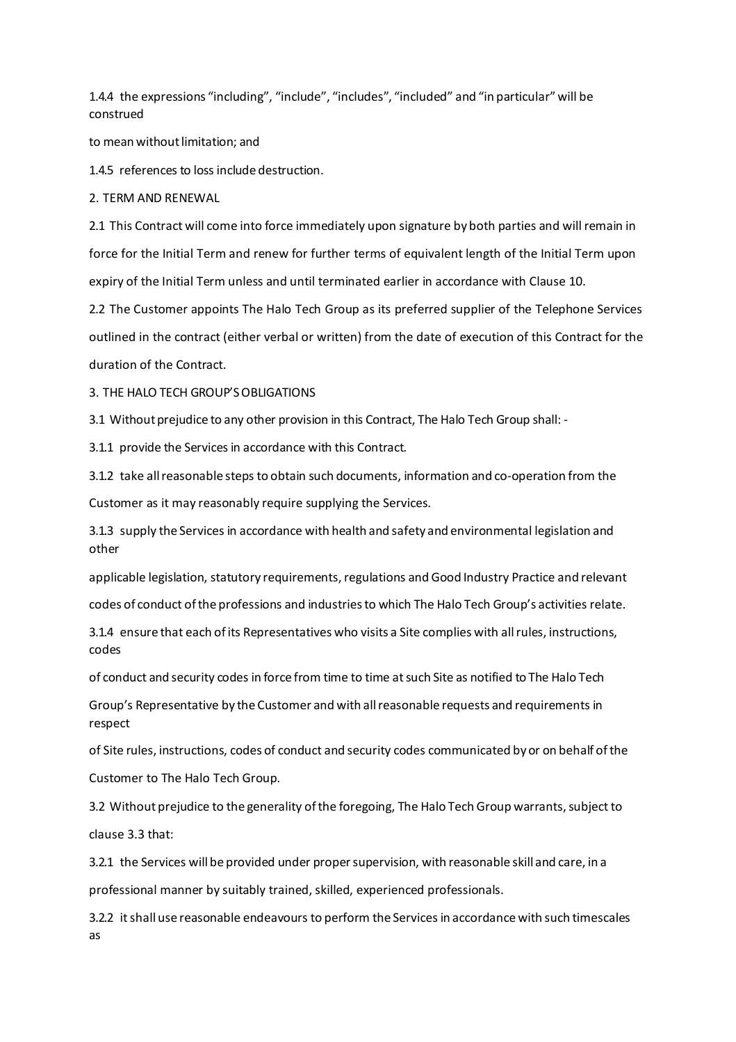1.4.4 the expressions "including", "include", "includes", "included" and "in particular"will be construed

to mean without limitation; and

1.4.5 references to loss include destruction.

2. TERM AND RENEWAL

2.1 This Contract will come into force immediately upon signature by both parties and will remain in force for the Initial Term and renew for further terms of equivalent length of the Initial Term upon expiry of the Initial Term unless and until terminated earlier in accordance with Clause 10.

2.2 The Customer appoints The Halo Tech Group as its preferred supplier of the Telephone Services outlined in the contract (either verbal or written) from the date of execution of this Contract for the duration of the Contract.

3. THE HALO TECH GROUP'SOBLIGATIONS

3.1 Without prejudice to any other provision in this Contract, The Halo Tech Group shall: -

3.1.1 provide the Services in accordance with this Contract.

3.1.2 take allreasonable steps to obtain such documents, information and co-operation from the

Customer as it may reasonably require supplying the Services.

3.1.3 supply the Services in accordance with health and safety and environmental legislation and other

applicable legislation, statutory requirements, regulations and Good Industry Practice and relevant codes of conduct ofthe professions and industriesto which The Halo Tech Group's activities relate.

3.1.4 ensure that each ofits Representatives who visits a Site complies with allrules, instructions, codes

of conduct and security codes in force from time to time at such Site as notified to The Halo Tech

Group's Representative by the Customer and with allreasonable requests and requirements in respect

of Site rules, instructions, codes of conduct and security codes communicated by or on behalf ofthe

Customer to The Halo Tech Group.

3.2 Without prejudice to the generality of the foregoing, The Halo Tech Group warrants, subject to clause 3.3 that:

3.2.1 the Services will be provided under propersupervision, with reasonable skill and care, in a

professional manner by suitably trained, skilled, experienced professionals.

3.2.2 itshall use reasonable endeavours to perform the Services in accordance with such timescales as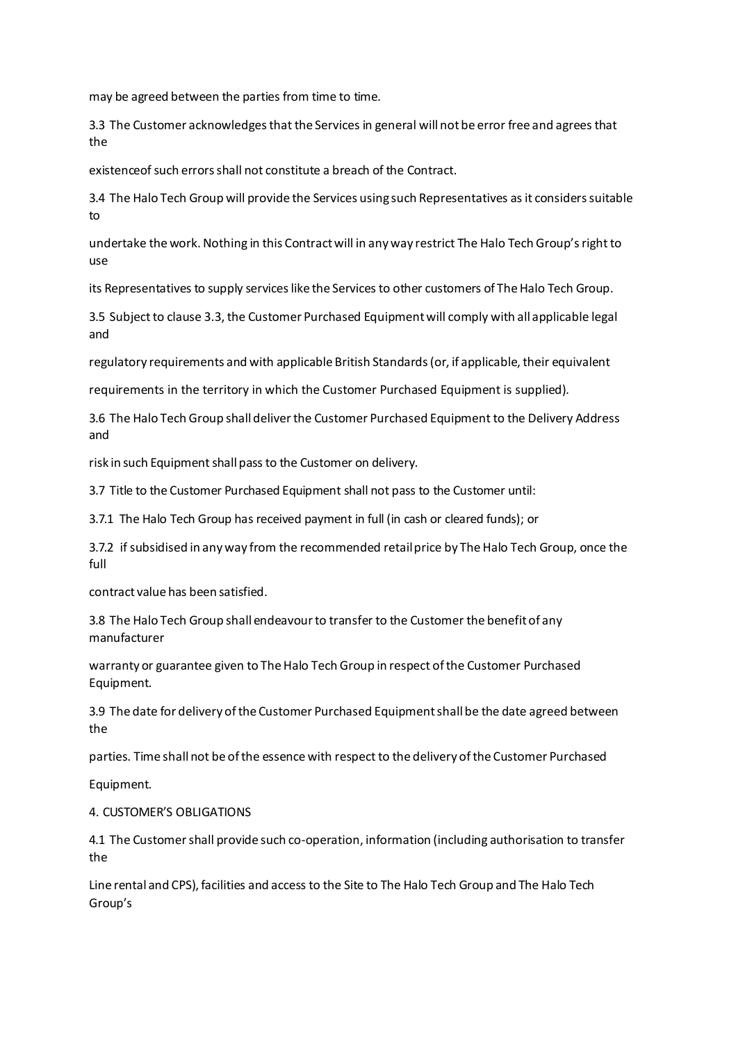may be agreed between the parties from time to time.

3.3 The Customer acknowledgesthat the Services in general will notbe error free and agrees that the

existenceof such errorsshall not constitute a breach of the Contract.

3.4 The Halo Tech Group will provide the Services using such Representatives as it considers suitable to

undertake the work. Nothing in this Contract will in any way restrict The Halo Tech Group's right to use

its Representatives to supply services like the Services to other customers of The Halo Tech Group.

3.5 Subject to clause 3.3, the Customer Purchased Equipment will comply with all applicable legal and

regulatory requirements and with applicable British Standards(or, if applicable, their equivalent

requirements in the territory in which the Customer Purchased Equipment is supplied).

3.6 The Halo Tech Group shall deliverthe Customer Purchased Equipment to the Delivery Address and

risk in such Equipment shall pass to the Customer on delivery.

3.7 Title to the Customer Purchased Equipment shall not pass to the Customer until:

3.7.1 The Halo Tech Group has received payment in full (in cash or cleared funds); or

3.7.2 if subsidised in any way from the recommended retail price by The Halo Tech Group, once the full

contract value has been satisfied.

3.8 The Halo Tech Group shall endeavour to transfer to the Customer the benefit of any manufacturer

warranty or guarantee given to The Halo Tech Group in respect of the Customer Purchased Equipment.

3.9 The date for delivery ofthe Customer Purchased Equipmentshall be the date agreed between the

parties. Time shall not be ofthe essencewith respect to the delivery ofthe Customer Purchased

Equipment.

### 4. CUSTOMER'S OBLIGATIONS

4.1 The Customershall provide such co-operation, information (including authorisation to transfer the

Line rental and CPS), facilities and access to the Site to The Halo Tech Group and The Halo Tech Group's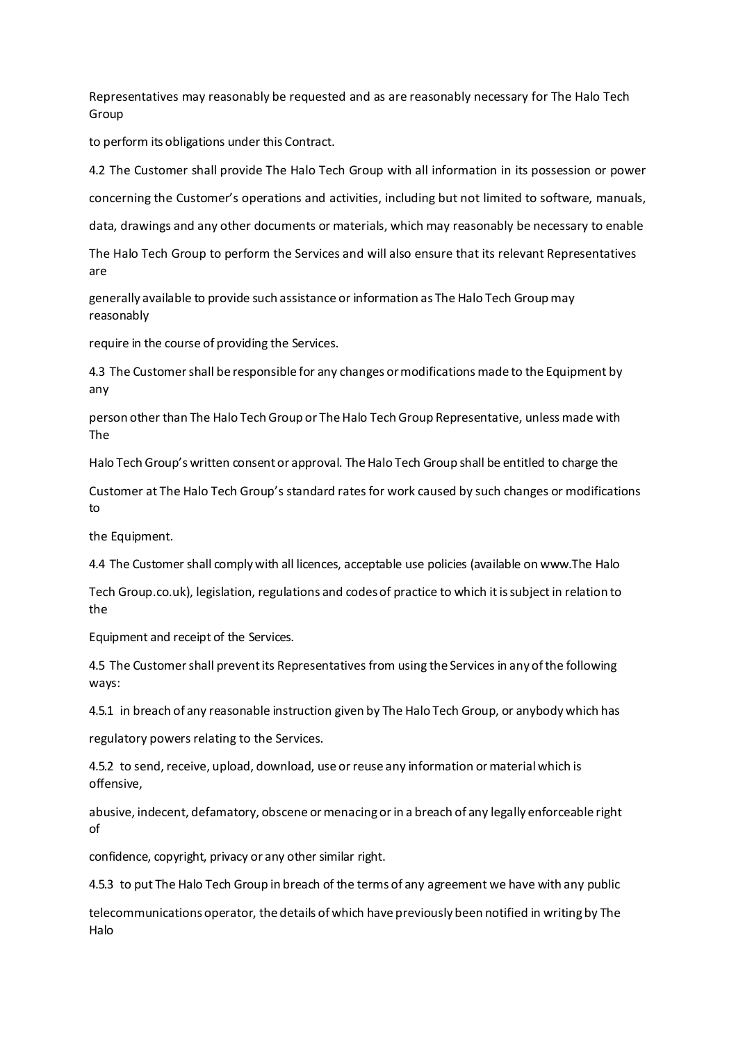Representatives may reasonably be requested and as are reasonably necessary for The Halo Tech Group

to perform its obligations under this Contract.

4.2 The Customer shall provide The Halo Tech Group with all information in its possession or power concerning the Customer's operations and activities, including but not limited to software, manuals,

data, drawings and any other documents or materials, which may reasonably be necessary to enable

The Halo Tech Group to perform the Services and will also ensure that its relevant Representatives are

generally available to provide such assistance or information as The Halo Tech Group may reasonably

require in the course of providing the Services.

4.3 The Customershall be responsible for any changes ormodifications made to the Equipment by any

person other than The Halo Tech Group or The Halo Tech Group Representative, unless made with The

Halo Tech Group's written consent or approval. The Halo Tech Group shall be entitled to charge the

Customer at The Halo Tech Group's standard rates for work caused by such changes or modifications to

the Equipment.

4.4 The Customer shall complywith all licences, acceptable use policies (available on www.The Halo

Tech Group.co.uk), legislation, regulations and codes of practice to which it is subject in relation to the

Equipment and receipt of the Services.

4.5 The Customershall preventits Representatives from using the Services in any ofthe following ways:

4.5.1 in breach of any reasonable instruction given by The Halo Tech Group, or anybody which has

regulatory powers relating to the Services.

4.5.2 to send, receive, upload, download, use or reuse any information or material which is offensive,

abusive, indecent, defamatory, obscene or menacing or in a breach of any legally enforceable right of

confidence, copyright, privacy or any other similar right.

4.5.3 to put The Halo Tech Group in breach of the terms of any agreement we have with any public

telecommunicationsoperator, the details of which have previously been notified in writingby The Halo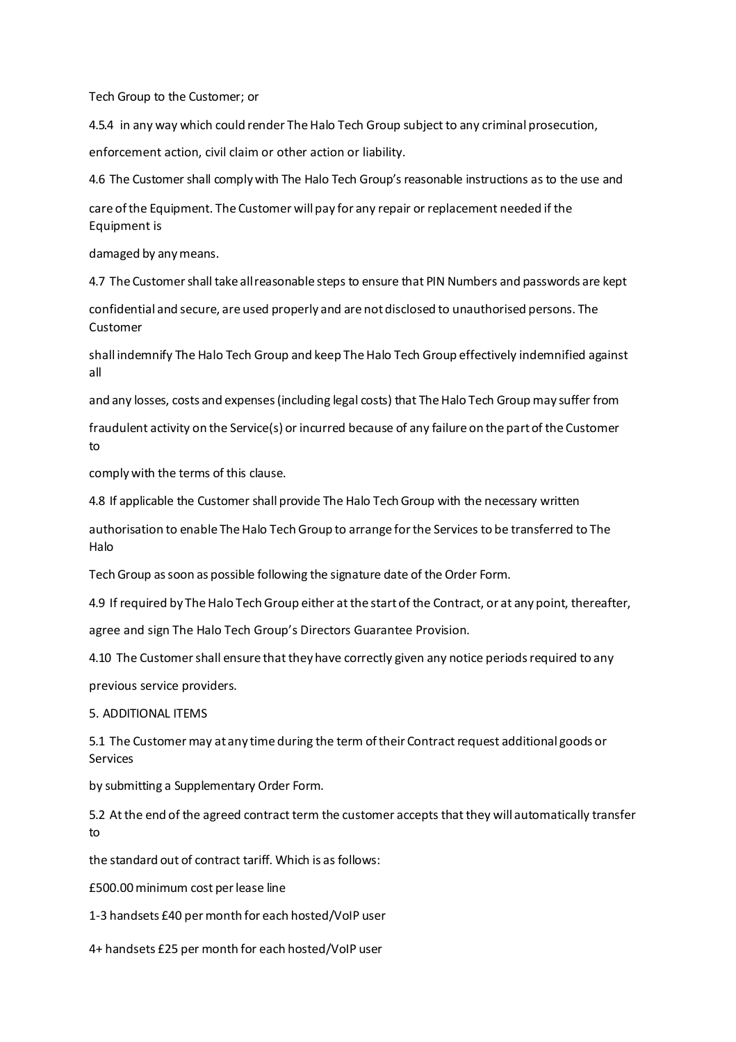Tech Group to the Customer; or

4.5.4 in any way which could render The Halo Tech Group subject to any criminal prosecution,

enforcement action, civil claim or other action or liability.

4.6 The Customer shall complywith The Halo Tech Group's reasonable instructions as to the use and

care ofthe Equipment. The Customer will pay for any repair or replacement needed if the Equipment is

damaged by anymeans.

4.7 The Customer shall take all reasonable steps to ensure that PIN Numbers and passwords are kept

confidential and secure, are used properly and are notdisclosed to unauthorised persons. The Customer

shall indemnify The Halo Tech Group and keep The Halo Tech Group effectively indemnified against all

and any losses, costs and expenses (including legal costs) that The Halo Tech Group may suffer from

fraudulent activity on the Service(s) or incurred because of any failure on the partof the Customer to

complywith the terms of this clause.

4.8 If applicable the Customer shall provide The Halo Tech Group with the necessary written

authorisation to enable The Halo Tech Group to arrange for the Services to be transferred to The Halo

Tech Group as soon as possible following the signature date of the Order Form.

4.9 If required by The Halo Tech Group either at the start of the Contract, or at any point, thereafter,

agree and sign The Halo Tech Group's Directors Guarantee Provision.

4.10 The Customer shall ensure that they have correctly given any notice periods required to any

previous service providers.

## 5. ADDITIONAL ITEMS

5.1 The Customer may at any time during the term of their Contract request additional goods or Services

by submitting a Supplementary Order Form.

5.2 At the end of the agreed contract term the customer accepts that they will automatically transfer to

the standard out of contract tariff. Which is as follows:

£500.00minimum cost perlease line

1-3 handsets £40 permonth for each hosted/VoIP user

4+ handsets £25 per month for each hosted/VoIP user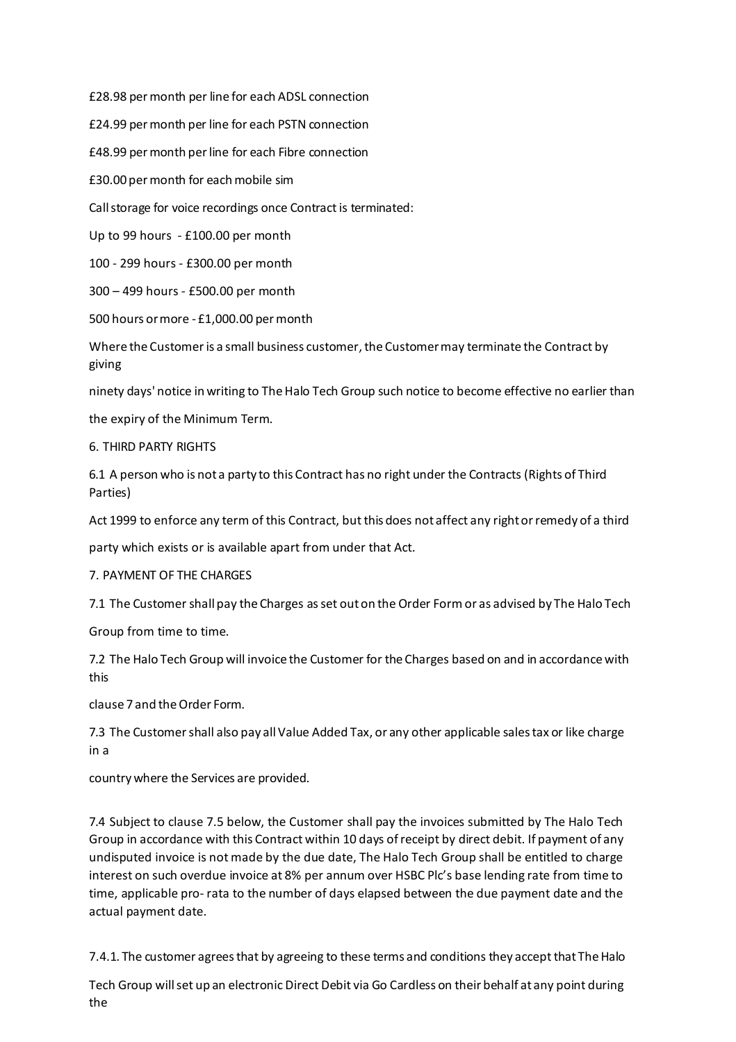£28.98 permonth per line for each ADSL connection

£24.99 permonth per line for each PSTN connection

£48.99 permonth perline for each Fibre connection

£30.00 permonth for eachmobile sim

Callstorage for voice recordings once Contract is terminated:

Up to 99 hours - £100.00 per month

100 - 299 hours - £300.00 per month

300 – 499 hours - £500.00 per month

500 hours ormore - £1,000.00 permonth

Where the Customeris a small business customer, the Customermay terminate the Contract by giving

ninety days' notice in writing to The Halo Tech Group such notice to become effective no earlier than

the expiry of the Minimum Term.

6. THIRD PARTY RIGHTS

6.1 A person who is not a party to this Contract has no right under the Contracts (Rights of Third Parties)

Act 1999 to enforce any term of this Contract, but this does not affect any right or remedy of a third

party which exists or is available apart from under that Act.

7. PAYMENT OF THE CHARGES

7.1 The Customer shall pay the Charges asset outon the Order Formor as advised by The Halo Tech

Group from time to time.

7.2 The Halo Tech Group will invoice the Customer for the Charges based on and in accordance with this

clause 7 and the Order Form.

7.3 The Customer shall also pay all Value Added Tax, or any other applicable sales tax or like charge in a

country where the Services are provided.

7.4 Subject to clause 7.5 below, the Customer shall pay the invoices submitted by The Halo Tech Group in accordance with this Contract within 10 days ofreceipt by direct debit. If payment of any undisputed invoice is not made by the due date, The Halo Tech Group shall be entitled to charge interest on such overdue invoice at 8% per annum over HSBC Plc's base lending rate from time to time, applicable pro- rata to the number of days elapsed between the due payment date and the actual payment date.

7.4.1. The customer agrees that by agreeing to these terms and conditions they accept that The Halo

Tech Group willset up an electronic Direct Debit via Go Cardless on their behalf atany point during the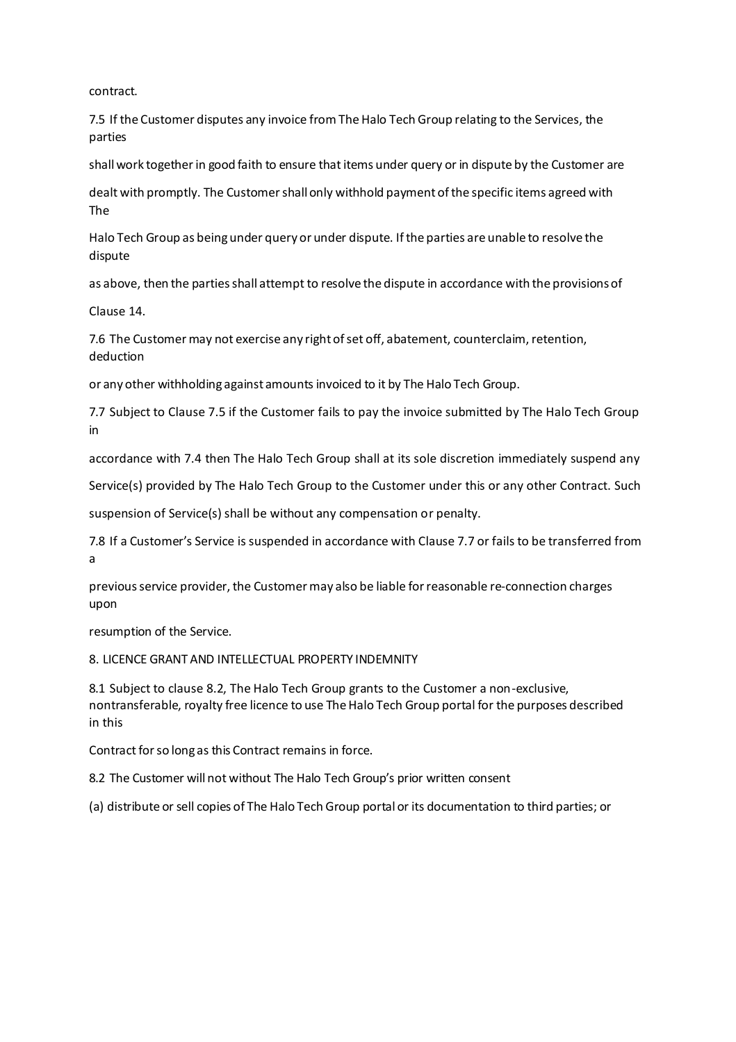contract.

7.5 If the Customer disputes any invoice from The Halo Tech Group relating to the Services, the parties

shall work together in good faith to ensure that items under query or in dispute by the Customer are

dealt with promptly. The Customershall only withhold paymentofthe specific items agreed with The

Halo Tech Group as beingunder query or under dispute. Ifthe parties are unable to resolve the dispute

as above, then the parties shall attempt to resolve the dispute in accordance with the provisions of

Clause 14.

7.6 The Customer may not exercise any right of set off, abatement, counterclaim, retention, deduction

or any other withholding against amounts invoiced to it by The Halo Tech Group.

7.7 Subject to Clause 7.5 if the Customer fails to pay the invoice submitted by The Halo Tech Group in

accordance with 7.4 then The Halo Tech Group shall at its sole discretion immediately suspend any

Service(s) provided by The Halo Tech Group to the Customer under this or any other Contract. Such

suspension of Service(s) shall be without any compensation or penalty.

7.8 If a Customer's Service is suspended in accordance with Clause 7.7 or fails to be transferred from a

previous service provider, the Customer may also be liable for reasonable re-connection charges upon

resumption of the Service.

8. LICENCE GRANT AND INTELLECTUAL PROPERTY INDEMNITY

8.1 Subject to clause 8.2, The Halo Tech Group grants to the Customer a non-exclusive, nontransferable, royalty free licence to use TheHalo Tech Group portal for the purposes described in this

Contract for so long as this Contract remains in force.

8.2 The Customer will not without The Halo Tech Group's prior written consent

(a) distribute or sell copies of The Halo Tech Group portal or its documentation to third parties; or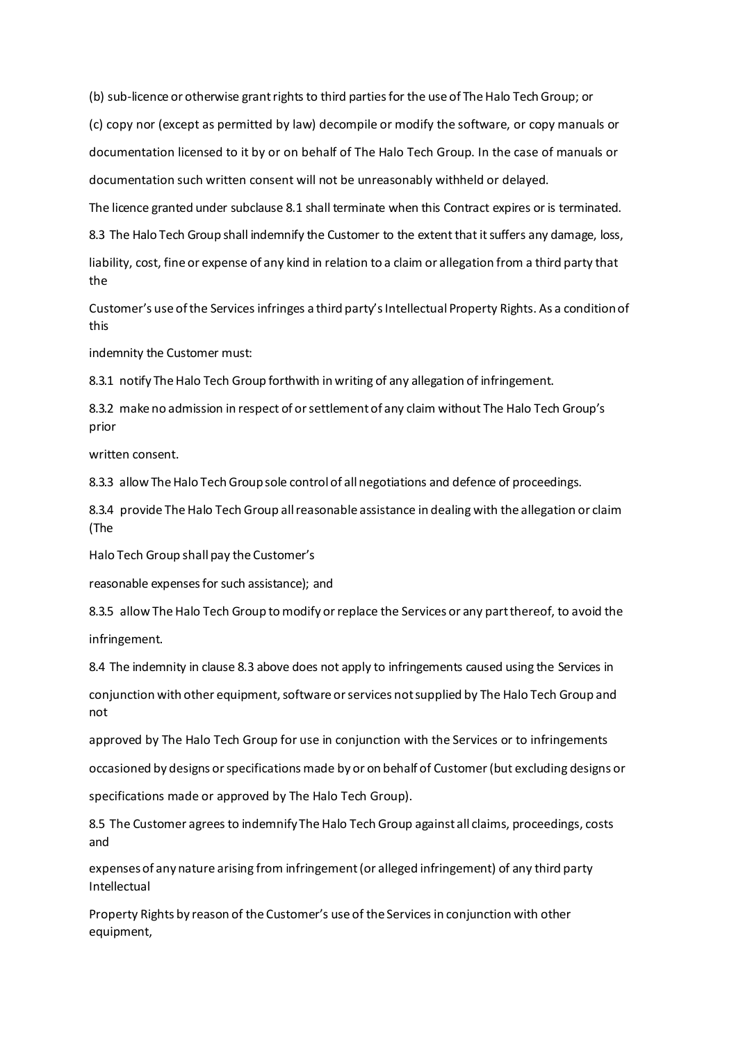(b) sub-licence or otherwise grant rights to third parties for the use of The Halo Tech Group; or

(c) copy nor (except as permitted by law) decompile or modify the software, or copy manuals or documentation licensed to it by or on behalf of The Halo Tech Group. In the case of manuals or documentation such written consent will not be unreasonably withheld or delayed.

The licence granted under subclause 8.1 shall terminate when this Contract expires or is terminated.

8.3 The Halo Tech Group shall indemnify the Customer to the extent that it suffers any damage, loss,

liability, cost, fine or expense of any kind in relation to a claim or allegation from a third party that the

Customer's use ofthe Services infringes a third party'sIntellectual Property Rights. As a conditionof this

indemnity the Customer must:

8.3.1 notify The Halo Tech Group forthwith in writing of any allegation of infringement.

8.3.2 make no admission in respect of or settlement of any claim without The Halo Tech Group's prior

written consent.

8.3.3 allow The Halo Tech Group sole control of all negotiations and defence of proceedings.

8.3.4 provide The Halo Tech Group all reasonable assistance in dealing with the allegation or claim (The

Halo Tech Group shall pay the Customer's

reasonable expensesfor such assistance); and

8.3.5 allow The Halo Tech Group to modify or replace the Services or any part thereof, to avoid the infringement.

8.4 The indemnity in clause 8.3 above does not apply to infringements caused using the Services in

conjunction with other equipment, software or services not supplied by The Halo Tech Group and not

approved by The Halo Tech Group for use in conjunction with the Services or to infringements

occasioned by designs orspecifications made by or on behalf of Customer(but excluding designs or

specifications made or approved by The Halo Tech Group).

8.5 The Customer agrees to indemnify The Halo Tech Group against all claims, proceedings, costs and

expensesof any nature arising from infringement(or alleged infringement) of any third party Intellectual

Property Rights by reason of the Customer's use of the Services in conjunction with other equipment,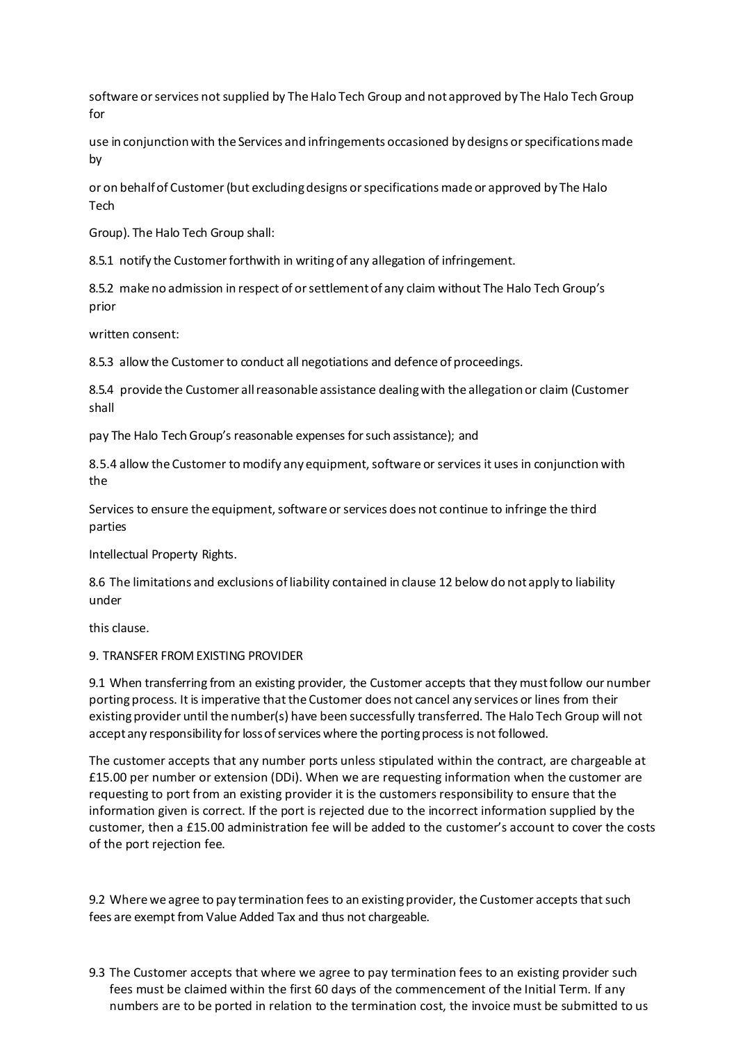software or services not supplied by The Halo Tech Group and not approved by The Halo Tech Group for

use in conjunctionwith the Services and infringements occasioned by designs orspecificationsmade by

or on behalfof Customer(but excludingdesigns orspecifications made or approved by The Halo Tech

Group). The Halo Tech Group shall:

8.5.1 notify the Customer forthwith in writing of any allegation of infringement.

8.5.2 make no admission in respect of orsettlementof any claim without The Halo Tech Group's prior

written consent:

8.5.3 allow the Customer to conduct all negotiations and defence of proceedings.

8.5.4 provide the Customer allreasonable assistance dealingwith the allegationor claim (Customer shall

pay The Halo Tech Group's reasonable expenses for such assistance); and

8.5.4 allow the Customer to modify any equipment, software or services it uses in conjunction with the

Services to ensure the equipment, software or services does not continue to infringe the third parties

Intellectual Property Rights.

8.6 The limitations and exclusions ofliability contained in clause 12 below do not apply to liability under

this clause.

### 9. TRANSFER FROM EXISTING PROVIDER

9.1 When transferring from an existing provider, the Customer accepts that they mustfollow our number portingprocess. Itis imperative that the Customer does not cancel any services or lines from their existingprovider until the number(s) have been successfully transferred. The Halo Tech Group will not accept any responsibility for loss of services where the porting process is not followed.

The customer accepts that any number ports unless stipulated within the contract, are chargeable at £15.00 per number or extension (DDi). When we are requesting information when the customer are requesting to port from an existing provider it is the customers responsibility to ensure that the information given is correct. If the port is rejected due to the incorrect information supplied by the customer, then a £15.00 administration fee will be added to the customer's account to cover the costs of the port rejection fee.

9.2 Where we agree to pay termination fees to an existing provider, the Customer accepts that such fees are exempt from Value Added Tax and thus not chargeable.

9.3 The Customer accepts that where we agree to pay termination fees to an existing provider such fees must be claimed within the first 60 days of the commencement of the Initial Term. If any numbers are to be ported in relation to the termination cost, the invoice must be submitted to us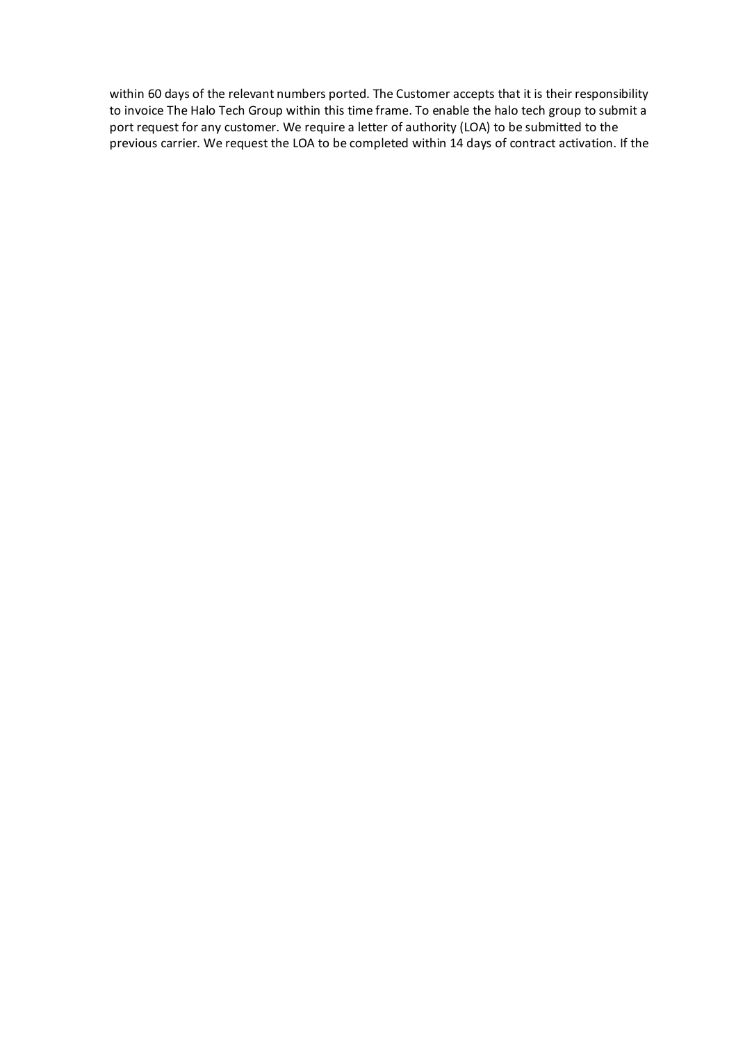within 60 days of the relevant numbers ported. The Customer accepts that it is their responsibility to invoice The Halo Tech Group within this time frame. To enable the halo tech group to submit a port request for any customer. We require a letter of authority (LOA) to be submitted to the previous carrier. We request the LOA to be completed within 14 days of contract activation. If the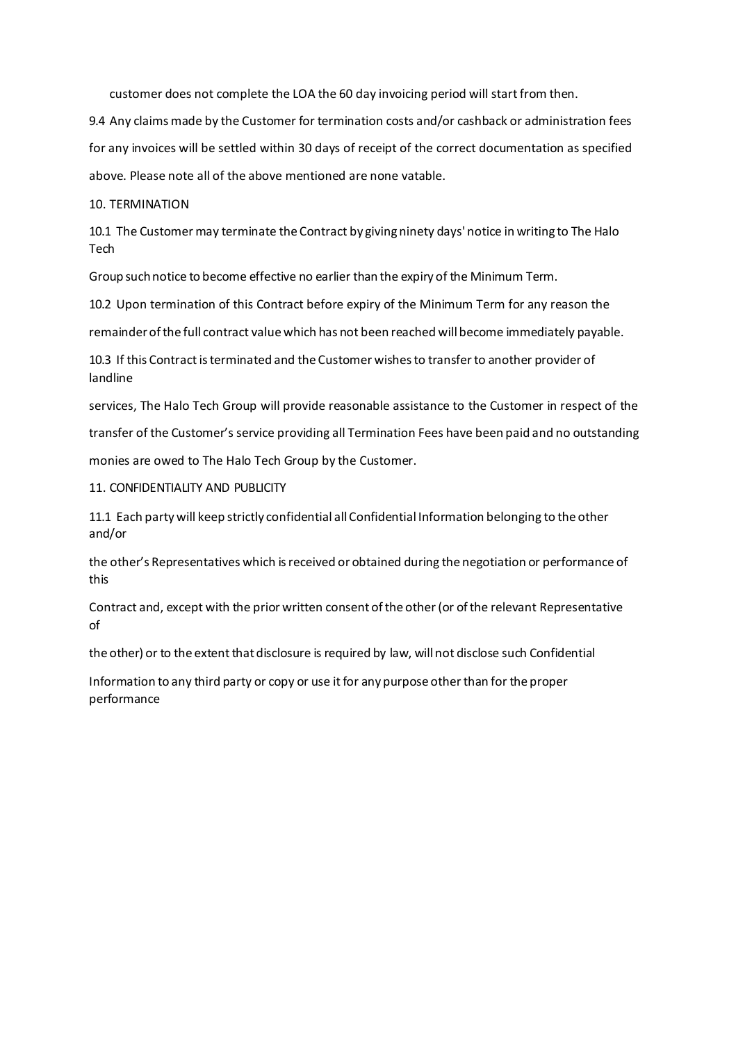customer does not complete the LOA the 60 day invoicing period will start from then.

9.4 Any claims made by the Customer for termination costs and/or cashback or administration fees for any invoices will be settled within 30 days of receipt of the correct documentation as specified above. Please note all of the above mentioned are none vatable.

10. TERMINATION

10.1 The Customer may terminate the Contract by giving ninety days' notice in writing to The Halo Tech

Group suchnotice to become effective no earlier than the expiry of the Minimum Term.

10.2 Upon termination of this Contract before expiry of the Minimum Term for any reason the

remainderofthe full contract valuewhich has not been reached will become immediately payable.

10.3 If this Contract isterminated and the Customer wishesto transferto another provider of landline

services, The Halo Tech Group will provide reasonable assistance to the Customer in respect of the

transfer of the Customer's service providing all Termination Fees have been paid and no outstanding

monies are owed to The Halo Tech Group by the Customer.

11. CONFIDENTIALITY AND PUBLICITY

11.1 Each party will keep strictly confidential allConfidential Information belonging to the other and/or

the other's Representatives which isreceived or obtained during the negotiation or performance of this

Contract and, except with the prior written consentofthe other(or ofthe relevant Representative of

the other) or to the extent thatdisclosure is required by law, will not disclose such Confidential

Information to any third party or copy or use itfor any purpose otherthan for the proper performance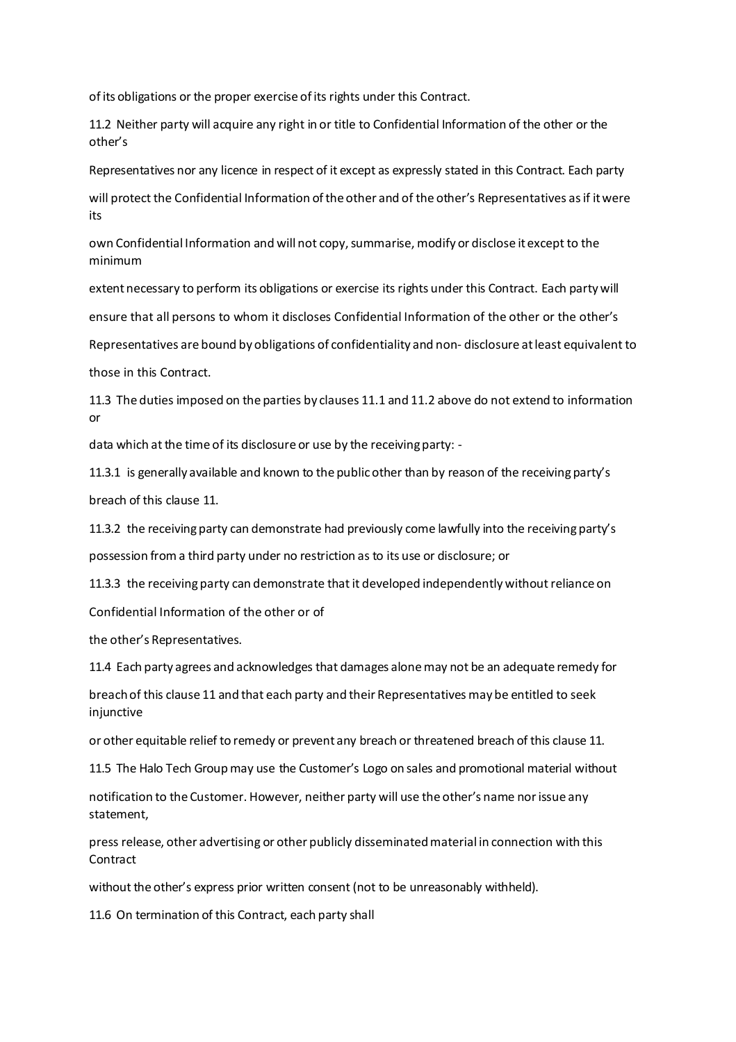of its obligations or the proper exercise of its rights under this Contract.

11.2 Neither party will acquire any right in or title to Confidential Information of the other or the other's

Representatives nor any licence in respect of it except as expressly stated in this Contract. Each party

will protect the Confidential Information of the other and of the other's Representatives as if it were its

own Confidential Information and will not copy,summarise, modify or disclose itexcept to the minimum

extentnecessary to perform its obligations or exercise its rights under this Contract. Each partywill ensure that all persons to whom it discloses Confidential Information of the other or the other's

Representatives are bound by obligations of confidentiality and non- disclosure atleast equivalent to those in this Contract.

11.3 The duties imposed on the parties by clauses 11.1 and 11.2 above do not extend to information or

data which at the time of its disclosure or use by the receiving party: -

11.3.1 is generally available and known to the publicother than by reason of the receivingparty's breach of this clause 11.

11.3.2 the receivingparty can demonstrate had previously come lawfully into the receivingparty's

possession froma third party under no restriction as to its use or disclosure; or

11.3.3 the receiving party can demonstrate that it developed independently without reliance on

Confidential Information of the other or of

the other's Representatives.

11.4 Each party agrees and acknowledges that damages alonemay not be an adequate remedy for

breachof this clause 11 and that each party and their Representatives may be entitled to seek injunctive

or other equitable relief to remedy or prevent any breach or threatened breach of this clause 11.

11.5 The Halo Tech Group may use the Customer's Logo on sales and promotional material without

notification to the Customer. However, neither party will use the other's name norissue any statement,

press release, other advertising or other publicly disseminatedmaterial in connection with this **Contract** 

without the other's express prior written consent (not to be unreasonably withheld).

11.6 On termination of this Contract, each party shall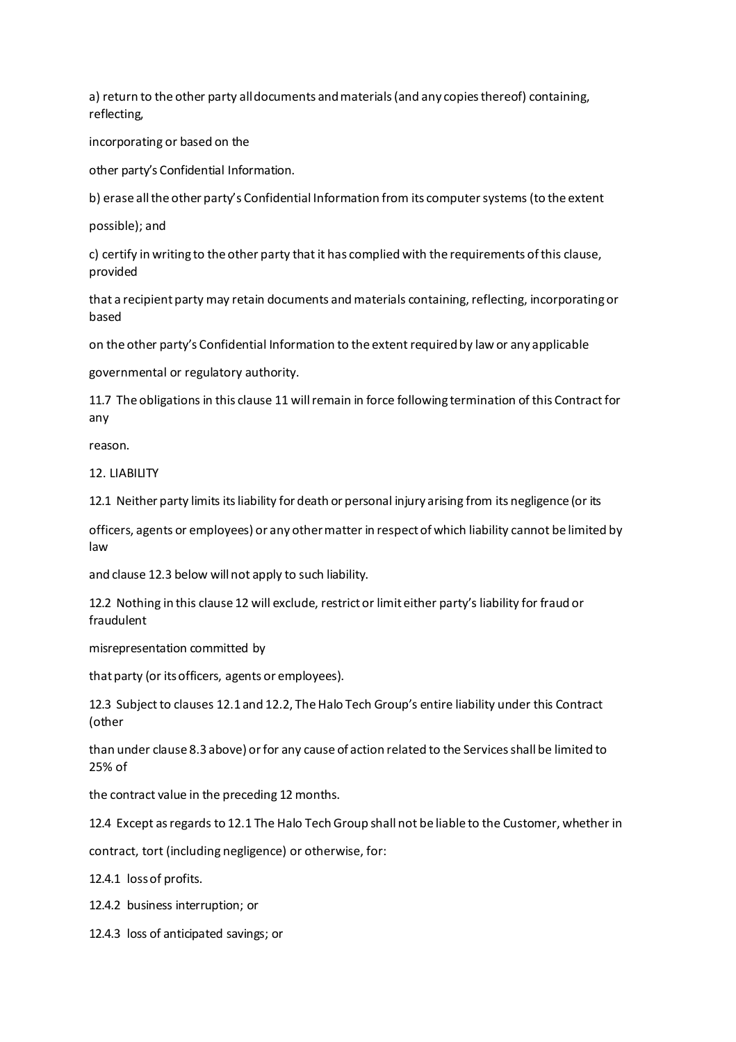a) return to the other party alldocuments andmaterials(and any copiesthereof) containing, reflecting,

incorporating or based on the

other party's Confidential Information.

b) erase all the other party's Confidential Information from its computer systems (to the extent

possible); and

c) certify in writing to the other party that it has complied with the requirements of this clause, provided

that a recipient party may retain documents and materials containing, reflecting, incorporating or based

on the other party's Confidential Information to the extentrequiredby law or any applicable

governmental or regulatory authority.

11.7 The obligations in this clause 11 willremain in force following termination of this Contract for any

reason.

12. LIABILITY

12.1 Neither party limits itsliability for death or personal injury arising from its negligence (or its

officers, agents or employees) or any othermatter in respectof which liability cannot be limited by law

and clause 12.3 below will not apply to such liability.

12.2 Nothing in this clause 12 will exclude, restrictor limiteither party's liability for fraud or fraudulent

misrepresentation committed by

that party (or its officers, agents or employees).

12.3 Subject to clauses 12.1 and 12.2, The Halo Tech Group's entire liability under this Contract (other

than under clause 8.3 above) orfor any cause of action related to the Servicesshall be limited to 25% of

the contract value in the preceding 12 months.

12.4 Except asregards to 12.1 The Halo Tech Group shall not be liable to the Customer, whether in

contract, tort (including negligence) or otherwise, for:

12.4.1 lossof profits.

12.4.2 business interruption; or

12.4.3 loss of anticipated savings; or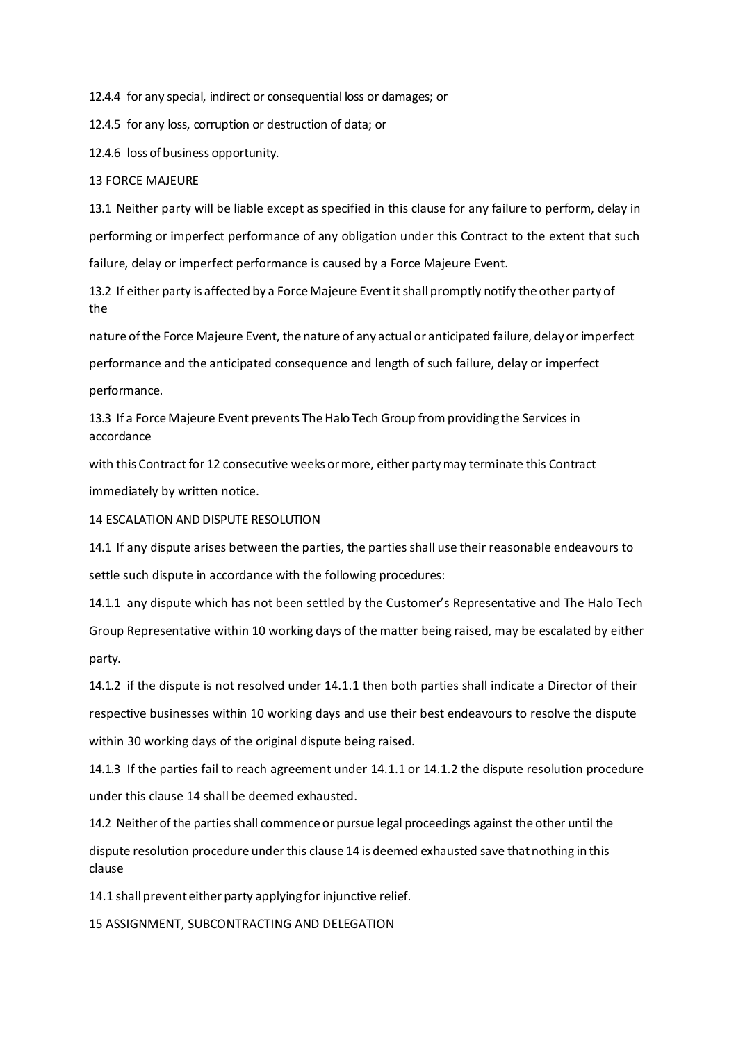12.4.4 for any special, indirect or consequential loss or damages; or

12.4.5 for any loss, corruption or destruction of data; or

12.4.6 loss of business opportunity.

### 13 FORCE MAJEURE

13.1 Neither party will be liable except as specified in this clause for any failure to perform, delay in performing or imperfect performance of any obligation under this Contract to the extent that such failure, delay or imperfect performance is caused by a Force Majeure Event.

13.2 If either party is affected by a Force Majeure Event itshall promptly notify the other party of the

nature ofthe Force Majeure Event, the nature of any actual or anticipated failure, delay or imperfect performance and the anticipated consequence and length of such failure, delay or imperfect performance.

13.3 If a Force Majeure Event prevents The Halo Tech Group from providing the Services in accordance

with this Contract for 12 consecutive weeks ormore, either partymay terminate this Contract immediately by written notice.

14 ESCALATION AND DISPUTE RESOLUTION

14.1 If any dispute arises between the parties, the parties shall use their reasonable endeavours to settle such dispute in accordance with the following procedures:

14.1.1 any dispute which has not been settled by the Customer's Representative and The Halo Tech Group Representative within 10 working days of the matter being raised, may be escalated by either party.

14.1.2 if the dispute is not resolved under 14.1.1 then both parties shall indicate a Director of their respective businesses within 10 working days and use their best endeavours to resolve the dispute within 30 working days of the original dispute being raised.

14.1.3 If the parties fail to reach agreement under 14.1.1 or 14.1.2 the dispute resolution procedure under this clause 14 shall be deemed exhausted.

14.2 Neither of the parties shall commence or pursue legal proceedings against the other until the dispute resolution procedure underthis clause 14 is deemed exhausted save thatnothing in this clause

14.1 shall prevent either party applying for injunctive relief.

15 ASSIGNMENT, SUBCONTRACTING AND DELEGATION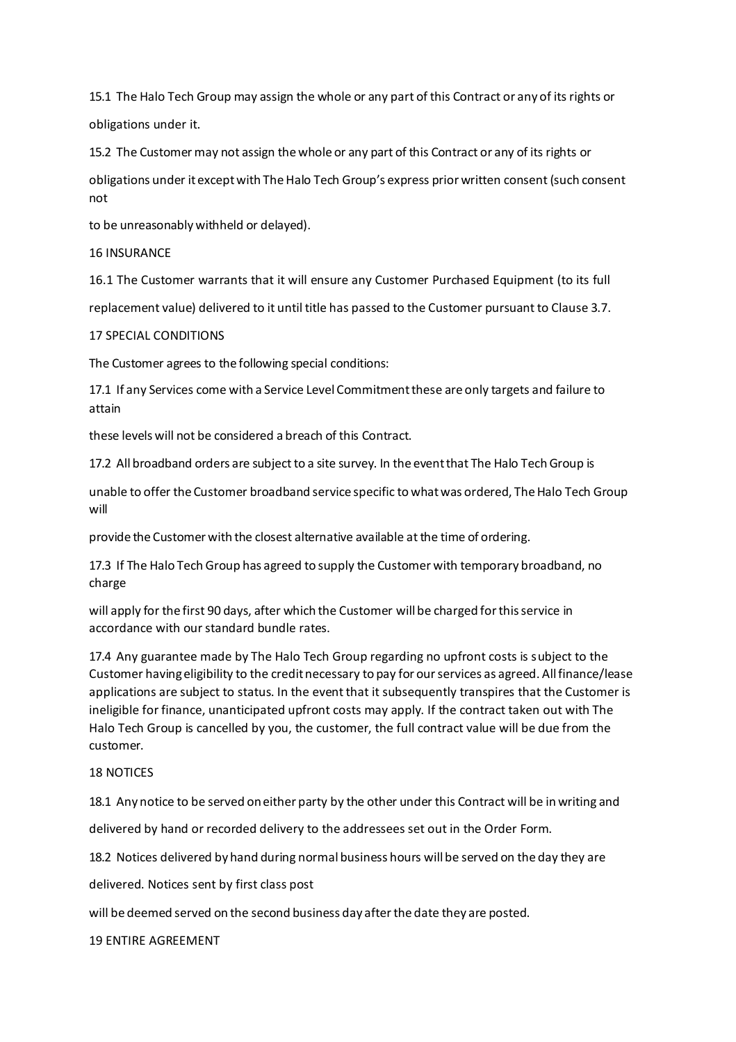15.1 The Halo Tech Group may assign the whole or any part of this Contract or any of its rights or obligations under it.

15.2 The Customer may not assign the whole or any part of this Contract or any of its rights or

obligations under itexceptwith TheHalo Tech Group's express prior written consent (such consent not

to be unreasonably withheld or delayed).

16 INSURANCE

16.1 The Customer warrants that it will ensure any Customer Purchased Equipment (to its full

replacement value) delivered to it until title has passed to the Customer pursuant to Clause 3.7.

# 17 SPECIAL CONDITIONS

The Customer agrees to the following special conditions:

17.1 If any Services come with a Service Level Commitmentthese are only targets and failure to attain

these levels will not be considered a breach of this Contract.

17.2 All broadband orders are subject to a site survey. In the eventthat The Halo Tech Group is

unable to offer the Customer broadband service specific to whatwas ordered, TheHalo Tech Group will

provide the Customer with the closest alternative available atthe time of ordering.

17.3 If The Halo Tech Group has agreed to supply the Customer with temporary broadband, no charge

will apply for the first 90 days, after which the Customer will be charged forthisservice in accordance with our standard bundle rates.

17.4 Any guarantee made by The Halo Tech Group regarding no upfront costs is subject to the Customer having eligibility to the credit necessary to pay for our services as agreed. All finance/lease applications are subject to status. In the event that it subsequently transpires that the Customer is ineligible for finance, unanticipated upfront costs may apply. If the contract taken out with The Halo Tech Group is cancelled by you, the customer, the full contract value will be due from the customer.

## 18 NOTICES

18.1 Any notice to be served oneither party by the other under this Contract will be in writing and

delivered by hand or recorded delivery to the addressees set out in the Order Form.

18.2 Notices delivered by hand during normal business hours will be served on the day they are

delivered. Notices sent by first class post

will be deemed served on the second business day afterthe date they are posted.

## 19 ENTIRE AGREEMENT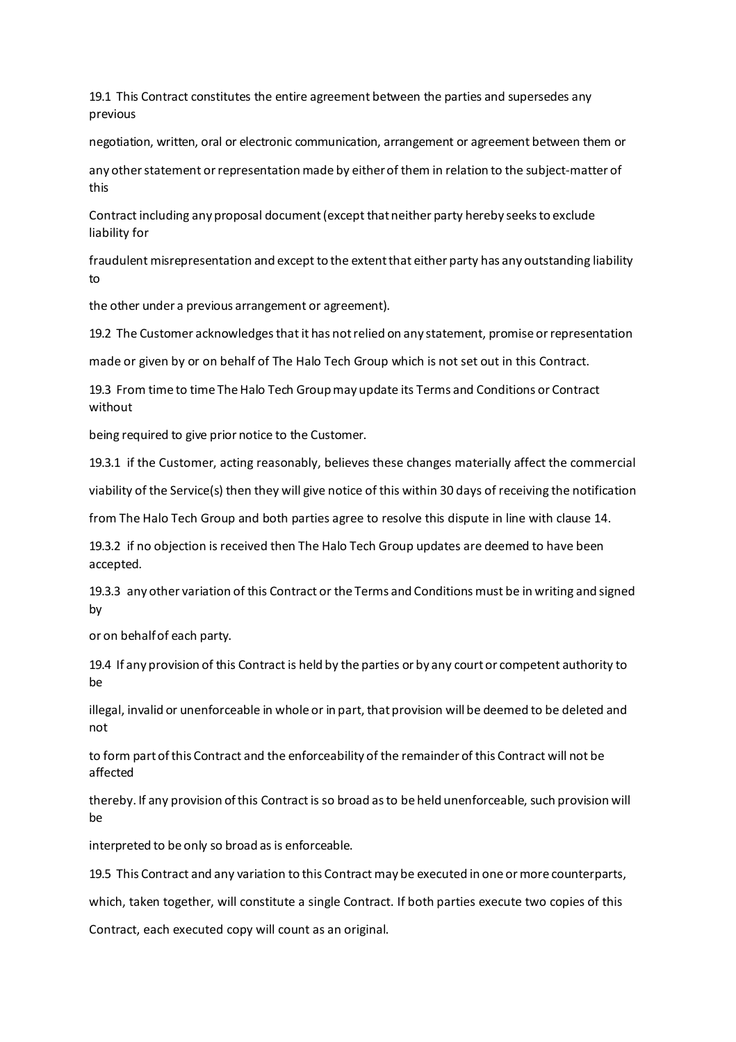19.1 This Contract constitutes the entire agreement between the parties and supersedes any previous

negotiation, written, oral or electronic communication, arrangement or agreement between them or

any other statement or representation made by either of them in relation to the subject-matter of this

Contract including any proposal document (except that neither party hereby seeks to exclude liability for

fraudulent misrepresentation and except to the extentthat either party has any outstanding liability to

the other under a previous arrangement or agreement).

19.2 The Customer acknowledges that it has not relied on any statement, promise or representation

made or given by or on behalf of The Halo Tech Group which is not set out in this Contract.

19.3 From time to time The Halo Tech Group may update its Terms and Conditions or Contract without

being required to give prior notice to the Customer.

19.3.1 if the Customer, acting reasonably, believes these changes materially affect the commercial

viability of the Service(s) then they will give notice of this within 30 days of receiving the notification

from The Halo Tech Group and both parties agree to resolve this dispute in line with clause 14.

19.3.2 if no objection is received then The Halo Tech Group updates are deemed to have been accepted.

19.3.3 any other variation of this Contract or the Terms and Conditions must be in writing and signed by

or on behalfof each party.

19.4 If any provision of this Contract is held by the parties or by any courtor competent authority to be

illegal, invalid or unenforceable in whole or in part, that provision will be deemed to be deleted and not

to form part of this Contract and the enforceability of the remainder of this Contract will not be affected

thereby. If any provision ofthis Contract is so broad asto be held unenforceable, such provision will be

interpreted to be only so broad as is enforceable.

19.5 This Contract and any variation to this Contract may be executed in one ormore counterparts,

which, taken together, will constitute a single Contract. If both parties execute two copies of this

Contract, each executed copy will count as an original.